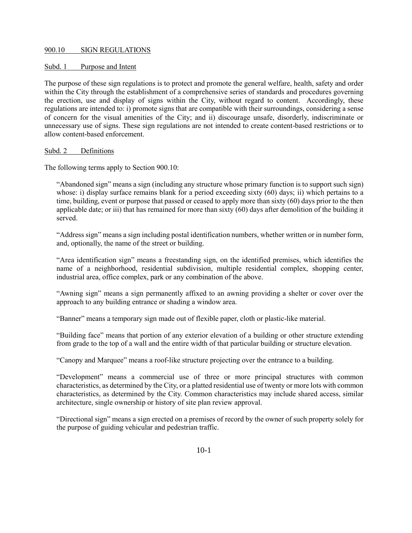# 900.10 SIGN REGULATIONS

### Subd. 1 Purpose and Intent

The purpose of these sign regulations is to protect and promote the general welfare, health, safety and order within the City through the establishment of a comprehensive series of standards and procedures governing the erection, use and display of signs within the City, without regard to content. Accordingly, these regulations are intended to: i) promote signs that are compatible with their surroundings, considering a sense of concern for the visual amenities of the City; and ii) discourage unsafe, disorderly, indiscriminate or unnecessary use of signs. These sign regulations are not intended to create content-based restrictions or to allow content-based enforcement.

#### Subd. 2 Definitions

The following terms apply to Section 900.10:

"Abandoned sign" means a sign (including any structure whose primary function is to support such sign) whose: i) display surface remains blank for a period exceeding sixty (60) days; ii) which pertains to a time, building, event or purpose that passed or ceased to apply more than sixty (60) days prior to the then applicable date; or iii) that has remained for more than sixty (60) days after demolition of the building it served.

"Address sign" means a sign including postal identification numbers, whether written or in number form, and, optionally, the name of the street or building.

"Area identification sign" means a freestanding sign, on the identified premises, which identifies the name of a neighborhood, residential subdivision, multiple residential complex, shopping center, industrial area, office complex, park or any combination of the above.

"Awning sign" means a sign permanently affixed to an awning providing a shelter or cover over the approach to any building entrance or shading a window area.

"Banner" means a temporary sign made out of flexible paper, cloth or plastic-like material.

"Building face" means that portion of any exterior elevation of a building or other structure extending from grade to the top of a wall and the entire width of that particular building or structure elevation.

"Canopy and Marquee" means a roof-like structure projecting over the entrance to a building.

"Development" means a commercial use of three or more principal structures with common characteristics, as determined by the City, or a platted residential use of twenty or more lots with common characteristics, as determined by the City. Common characteristics may include shared access, similar architecture, single ownership or history of site plan review approval.

"Directional sign" means a sign erected on a premises of record by the owner of such property solely for the purpose of guiding vehicular and pedestrian traffic.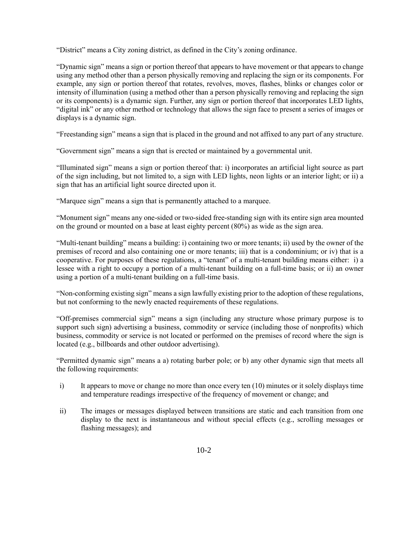"District" means a City zoning district, as defined in the City's zoning ordinance.

"Dynamic sign" means a sign or portion thereof that appears to have movement or that appears to change using any method other than a person physically removing and replacing the sign or its components. For example, any sign or portion thereof that rotates, revolves, moves, flashes, blinks or changes color or intensity of illumination (using a method other than a person physically removing and replacing the sign or its components) is a dynamic sign. Further, any sign or portion thereof that incorporates LED lights, "digital ink" or any other method or technology that allows the sign face to present a series of images or displays is a dynamic sign.

"Freestanding sign" means a sign that is placed in the ground and not affixed to any part of any structure.

"Government sign" means a sign that is erected or maintained by a governmental unit.

"Illuminated sign" means a sign or portion thereof that: i) incorporates an artificial light source as part of the sign including, but not limited to, a sign with LED lights, neon lights or an interior light; or ii) a sign that has an artificial light source directed upon it.

"Marquee sign" means a sign that is permanently attached to a marquee.

"Monument sign" means any one-sided or two-sided free-standing sign with its entire sign area mounted on the ground or mounted on a base at least eighty percent (80%) as wide as the sign area.

"Multi-tenant building" means a building: i) containing two or more tenants; ii) used by the owner of the premises of record and also containing one or more tenants; iii) that is a condominium; or iv) that is a cooperative. For purposes of these regulations, a "tenant" of a multi-tenant building means either: i) a lessee with a right to occupy a portion of a multi-tenant building on a full-time basis; or ii) an owner using a portion of a multi-tenant building on a full-time basis.

"Non-conforming existing sign" means a sign lawfully existing prior to the adoption of these regulations, but not conforming to the newly enacted requirements of these regulations.

"Off-premises commercial sign" means a sign (including any structure whose primary purpose is to support such sign) advertising a business, commodity or service (including those of nonprofits) which business, commodity or service is not located or performed on the premises of record where the sign is located (e.g., billboards and other outdoor advertising).

"Permitted dynamic sign" means a a) rotating barber pole; or b) any other dynamic sign that meets all the following requirements:

- i) It appears to move or change no more than once every ten (10) minutes or it solely displays time and temperature readings irrespective of the frequency of movement or change; and
- ii) The images or messages displayed between transitions are static and each transition from one display to the next is instantaneous and without special effects (e.g., scrolling messages or flashing messages); and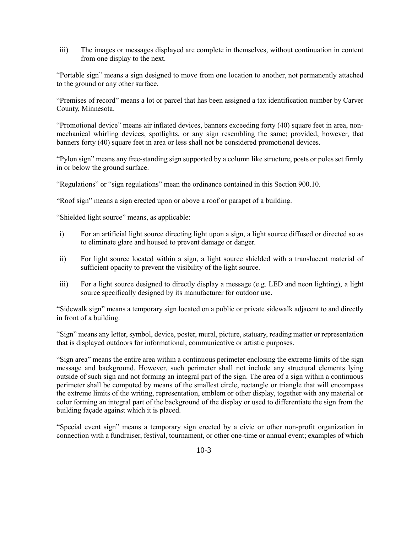iii) The images or messages displayed are complete in themselves, without continuation in content from one display to the next.

"Portable sign" means a sign designed to move from one location to another, not permanently attached to the ground or any other surface.

"Premises of record" means a lot or parcel that has been assigned a tax identification number by Carver County, Minnesota.

"Promotional device" means air inflated devices, banners exceeding forty (40) square feet in area, nonmechanical whirling devices, spotlights, or any sign resembling the same; provided, however, that banners forty (40) square feet in area or less shall not be considered promotional devices.

"Pylon sign" means any free-standing sign supported by a column like structure, posts or poles set firmly in or below the ground surface.

"Regulations" or "sign regulations" mean the ordinance contained in this Section 900.10.

"Roof sign" means a sign erected upon or above a roof or parapet of a building.

"Shielded light source" means, as applicable:

- i) For an artificial light source directing light upon a sign, a light source diffused or directed so as to eliminate glare and housed to prevent damage or danger.
- ii) For light source located within a sign, a light source shielded with a translucent material of sufficient opacity to prevent the visibility of the light source.
- iii) For a light source designed to directly display a message (e.g. LED and neon lighting), a light source specifically designed by its manufacturer for outdoor use.

"Sidewalk sign" means a temporary sign located on a public or private sidewalk adjacent to and directly in front of a building.

"Sign" means any letter, symbol, device, poster, mural, picture, statuary, reading matter or representation that is displayed outdoors for informational, communicative or artistic purposes.

"Sign area" means the entire area within a continuous perimeter enclosing the extreme limits of the sign message and background. However, such perimeter shall not include any structural elements lying outside of such sign and not forming an integral part of the sign. The area of a sign within a continuous perimeter shall be computed by means of the smallest circle, rectangle or triangle that will encompass the extreme limits of the writing, representation, emblem or other display, together with any material or color forming an integral part of the background of the display or used to differentiate the sign from the building façade against which it is placed.

"Special event sign" means a temporary sign erected by a civic or other non-profit organization in connection with a fundraiser, festival, tournament, or other one-time or annual event; examples of which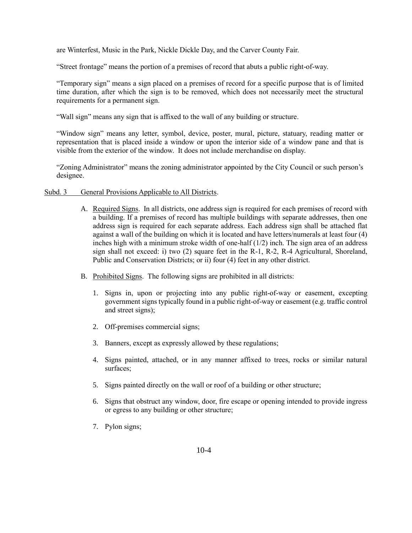are Winterfest, Music in the Park, Nickle Dickle Day, and the Carver County Fair.

"Street frontage" means the portion of a premises of record that abuts a public right-of-way.

"Temporary sign" means a sign placed on a premises of record for a specific purpose that is of limited time duration, after which the sign is to be removed, which does not necessarily meet the structural requirements for a permanent sign.

"Wall sign" means any sign that is affixed to the wall of any building or structure.

"Window sign" means any letter, symbol, device, poster, mural, picture, statuary, reading matter or representation that is placed inside a window or upon the interior side of a window pane and that is visible from the exterior of the window. It does not include merchandise on display.

"Zoning Administrator" means the zoning administrator appointed by the City Council or such person's designee.

# Subd. 3 General Provisions Applicable to All Districts.

- A. Required Signs. In all districts, one address sign is required for each premises of record with a building. If a premises of record has multiple buildings with separate addresses, then one address sign is required for each separate address. Each address sign shall be attached flat against a wall of the building on which it is located and have letters/numerals at least four (4) inches high with a minimum stroke width of one-half (1/2) inch. The sign area of an address sign shall not exceed: i) two (2) square feet in the R-1, R-2, R-4 Agricultural, Shoreland, Public and Conservation Districts; or ii) four (4) feet in any other district.
- B. Prohibited Signs. The following signs are prohibited in all districts:
	- 1. Signs in, upon or projecting into any public right-of-way or easement, excepting government signs typically found in a public right-of-way or easement (e.g. traffic control and street signs);
	- 2. Off-premises commercial signs;
	- 3. Banners, except as expressly allowed by these regulations;
	- 4. Signs painted, attached, or in any manner affixed to trees, rocks or similar natural surfaces;
	- 5. Signs painted directly on the wall or roof of a building or other structure;
	- 6. Signs that obstruct any window, door, fire escape or opening intended to provide ingress or egress to any building or other structure;
	- 7. Pylon signs;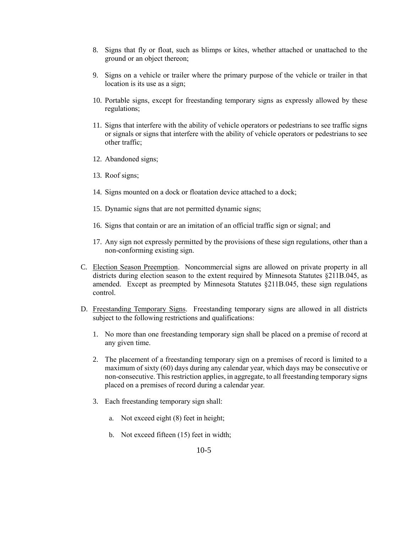- 8. Signs that fly or float, such as blimps or kites, whether attached or unattached to the ground or an object thereon;
- 9. Signs on a vehicle or trailer where the primary purpose of the vehicle or trailer in that location is its use as a sign;
- 10. Portable signs, except for freestanding temporary signs as expressly allowed by these regulations;
- 11. Signs that interfere with the ability of vehicle operators or pedestrians to see traffic signs or signals or signs that interfere with the ability of vehicle operators or pedestrians to see other traffic;
- 12. Abandoned signs;
- 13. Roof signs;
- 14. Signs mounted on a dock or floatation device attached to a dock;
- 15. Dynamic signs that are not permitted dynamic signs;
- 16. Signs that contain or are an imitation of an official traffic sign or signal; and
- 17. Any sign not expressly permitted by the provisions of these sign regulations, other than a non-conforming existing sign.
- C. Election Season Preemption. Noncommercial signs are allowed on private property in all districts during election season to the extent required by Minnesota Statutes §211B.045, as amended. Except as preempted by Minnesota Statutes §211B.045, these sign regulations control.
- D. Freestanding Temporary Signs. Freestanding temporary signs are allowed in all districts subject to the following restrictions and qualifications:
	- 1. No more than one freestanding temporary sign shall be placed on a premise of record at any given time.
	- 2. The placement of a freestanding temporary sign on a premises of record is limited to a maximum of sixty (60) days during any calendar year, which days may be consecutive or non-consecutive. This restriction applies, in aggregate, to all freestanding temporary signs placed on a premises of record during a calendar year.
	- 3. Each freestanding temporary sign shall:
		- a. Not exceed eight (8) feet in height;
		- b. Not exceed fifteen (15) feet in width;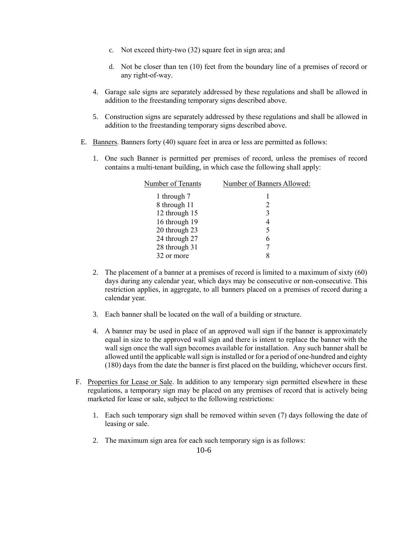- c. Not exceed thirty-two (32) square feet in sign area; and
- d. Not be closer than ten (10) feet from the boundary line of a premises of record or any right-of-way.
- 4. Garage sale signs are separately addressed by these regulations and shall be allowed in addition to the freestanding temporary signs described above.
- 5. Construction signs are separately addressed by these regulations and shall be allowed in addition to the freestanding temporary signs described above.
- E. Banners. Banners forty (40) square feet in area or less are permitted as follows:
	- 1. One such Banner is permitted per premises of record, unless the premises of record contains a multi-tenant building, in which case the following shall apply:

| Number of Tenants | Number of Banners Allowed:  |
|-------------------|-----------------------------|
| 1 through 7       |                             |
| 8 through 11      | $\mathcal{D}_{\mathcal{L}}$ |
| 12 through 15     | 3                           |
| 16 through 19     | 4                           |
| 20 through 23     | 5                           |
| 24 through 27     | 6                           |
| 28 through 31     |                             |
| 32 or more        |                             |

- 2. The placement of a banner at a premises of record is limited to a maximum of sixty (60) days during any calendar year, which days may be consecutive or non-consecutive. This restriction applies, in aggregate, to all banners placed on a premises of record during a calendar year.
- 3. Each banner shall be located on the wall of a building or structure.
- 4. A banner may be used in place of an approved wall sign if the banner is approximately equal in size to the approved wall sign and there is intent to replace the banner with the wall sign once the wall sign becomes available for installation. Any such banner shall be allowed until the applicable wall sign is installed or for a period of one-hundred and eighty (180) days from the date the banner is first placed on the building, whichever occurs first.
- F. Properties for Lease or Sale. In addition to any temporary sign permitted elsewhere in these regulations, a temporary sign may be placed on any premises of record that is actively being marketed for lease or sale, subject to the following restrictions:
	- 1. Each such temporary sign shall be removed within seven (7) days following the date of leasing or sale.
	- 2. The maximum sign area for each such temporary sign is as follows: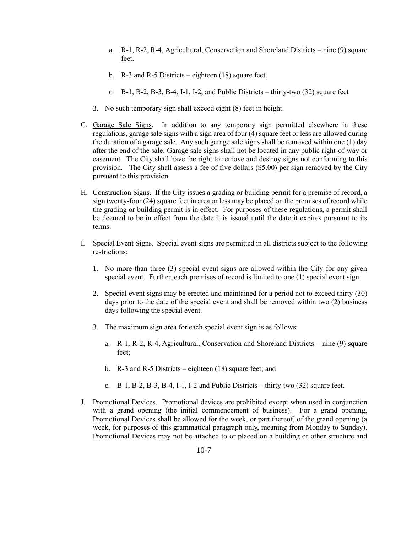- a. R-1, R-2, R-4, Agricultural, Conservation and Shoreland Districts nine (9) square feet.
- b. R-3 and R-5 Districts eighteen (18) square feet.
- c.  $B-1$ ,  $B-2$ ,  $B-3$ ,  $B-4$ ,  $I-1$ ,  $I-2$ , and Public Districts thirty-two  $(32)$  square feet
- 3. No such temporary sign shall exceed eight (8) feet in height.
- G. Garage Sale Signs. In addition to any temporary sign permitted elsewhere in these regulations, garage sale signs with a sign area of four (4) square feet or less are allowed during the duration of a garage sale. Any such garage sale signs shall be removed within one (1) day after the end of the sale. Garage sale signs shall not be located in any public right-of-way or easement. The City shall have the right to remove and destroy signs not conforming to this provision. The City shall assess a fee of five dollars (\$5.00) per sign removed by the City pursuant to this provision.
- H. Construction Signs. If the City issues a grading or building permit for a premise of record, a sign twenty-four (24) square feet in area or less may be placed on the premises of record while the grading or building permit is in effect. For purposes of these regulations, a permit shall be deemed to be in effect from the date it is issued until the date it expires pursuant to its terms.
- I. Special Event Signs. Special event signs are permitted in all districts subject to the following restrictions:
	- 1. No more than three (3) special event signs are allowed within the City for any given special event. Further, each premises of record is limited to one (1) special event sign.
	- 2. Special event signs may be erected and maintained for a period not to exceed thirty (30) days prior to the date of the special event and shall be removed within two (2) business days following the special event.
	- 3. The maximum sign area for each special event sign is as follows:
		- a. R-1, R-2, R-4, Agricultural, Conservation and Shoreland Districts nine (9) square feet;
		- b. R-3 and R-5 Districts eighteen (18) square feet; and
		- c. B-1, B-2, B-3, B-4, I-1, I-2 and Public Districts thirty-two (32) square feet.
- J. Promotional Devices. Promotional devices are prohibited except when used in conjunction with a grand opening (the initial commencement of business). For a grand opening, Promotional Devices shall be allowed for the week, or part thereof, of the grand opening (a week, for purposes of this grammatical paragraph only, meaning from Monday to Sunday). Promotional Devices may not be attached to or placed on a building or other structure and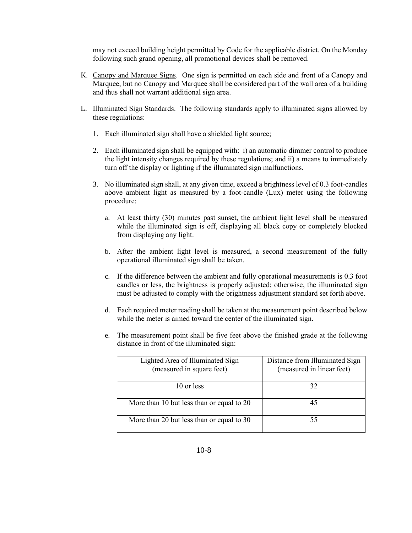may not exceed building height permitted by Code for the applicable district. On the Monday following such grand opening, all promotional devices shall be removed.

- K. Canopy and Marquee Signs. One sign is permitted on each side and front of a Canopy and Marquee, but no Canopy and Marquee shall be considered part of the wall area of a building and thus shall not warrant additional sign area.
- L. Illuminated Sign Standards. The following standards apply to illuminated signs allowed by these regulations:
	- 1. Each illuminated sign shall have a shielded light source;
	- 2. Each illuminated sign shall be equipped with: i) an automatic dimmer control to produce the light intensity changes required by these regulations; and ii) a means to immediately turn off the display or lighting if the illuminated sign malfunctions.
	- 3. No illuminated sign shall, at any given time, exceed a brightness level of 0.3 foot-candles above ambient light as measured by a foot-candle (Lux) meter using the following procedure:
		- a. At least thirty (30) minutes past sunset, the ambient light level shall be measured while the illuminated sign is off, displaying all black copy or completely blocked from displaying any light.
		- b. After the ambient light level is measured, a second measurement of the fully operational illuminated sign shall be taken.
		- c. If the difference between the ambient and fully operational measurements is 0.3 foot candles or less, the brightness is properly adjusted; otherwise, the illuminated sign must be adjusted to comply with the brightness adjustment standard set forth above.
		- d. Each required meter reading shall be taken at the measurement point described below while the meter is aimed toward the center of the illuminated sign.
		- e. The measurement point shall be five feet above the finished grade at the following distance in front of the illuminated sign:

| Lighted Area of Illuminated Sign<br>(measured in square feet) | Distance from Illuminated Sign<br>(measured in linear feet) |
|---------------------------------------------------------------|-------------------------------------------------------------|
| 10 or less                                                    | 32                                                          |
| More than 10 but less than or equal to 20                     |                                                             |
| More than 20 but less than or equal to 30                     |                                                             |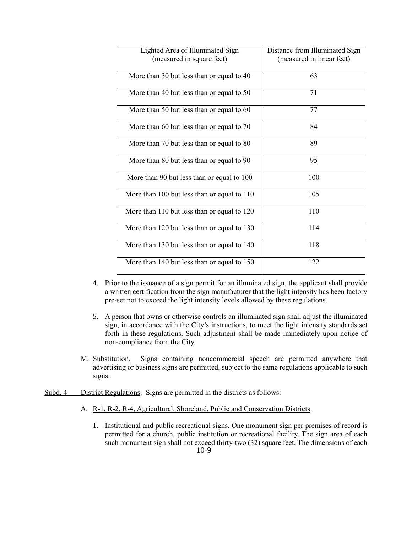| Lighted Area of Illuminated Sign            | Distance from Illuminated Sign |
|---------------------------------------------|--------------------------------|
| (measured in square feet)                   | (measured in linear feet)      |
| More than 30 but less than or equal to 40   | 63                             |
| More than 40 but less than or equal to 50   | 71                             |
| More than 50 but less than or equal to 60   | 77                             |
| More than 60 but less than or equal to 70   | 84                             |
| More than 70 but less than or equal to 80   | 89                             |
| More than 80 but less than or equal to 90   | 95                             |
| More than 90 but less than or equal to 100  | 100                            |
| More than 100 but less than or equal to 110 | 105                            |
| More than 110 but less than or equal to 120 | 110                            |
| More than 120 but less than or equal to 130 | 114                            |
| More than 130 but less than or equal to 140 | 118                            |
| More than 140 but less than or equal to 150 | 122                            |

- 4. Prior to the issuance of a sign permit for an illuminated sign, the applicant shall provide a written certification from the sign manufacturer that the light intensity has been factory pre-set not to exceed the light intensity levels allowed by these regulations.
- 5. A person that owns or otherwise controls an illuminated sign shall adjust the illuminated sign, in accordance with the City's instructions, to meet the light intensity standards set forth in these regulations. Such adjustment shall be made immediately upon notice of non-compliance from the City.
- M. Substitution. Signs containing noncommercial speech are permitted anywhere that advertising or business signs are permitted, subject to the same regulations applicable to such signs.
- Subd. 4 District Regulations. Signs are permitted in the districts as follows:
	- A. R-1, R-2, R-4, Agricultural, Shoreland, Public and Conservation Districts.
		- 10-9 1. Institutional and public recreational signs. One monument sign per premises of record is permitted for a church, public institution or recreational facility. The sign area of each such monument sign shall not exceed thirty-two (32) square feet. The dimensions of each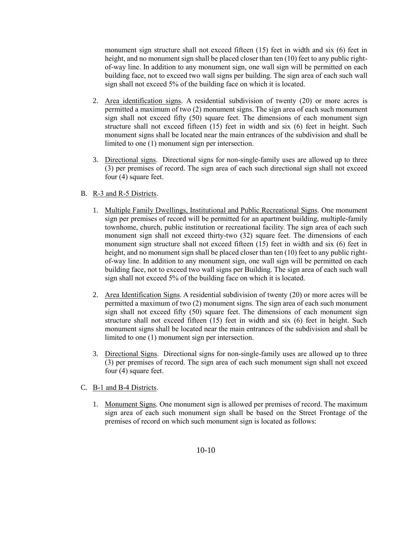monument sign structure shall not exceed fifteen (15) feet in width and six (6) feet in height, and no monument sign shall be placed closer than ten (10) feet to any public rightof-way line. In addition to any monument sign, one wall sign will be permitted on each building face, not to exceed two wall signs per building. The sign area of each such wall sign shall not exceed 5% of the building face on which it is located.

- 2. Area identification signs. A residential subdivision of twenty (20) or more acres is permitted a maximum of two (2) monument signs. The sign area of each such monument sign shall not exceed fifty (50) square feet. The dimensions of each monument sign structure shall not exceed fifteen (15) feet in width and six (6) feet in height. Such monument signs shall be located near the main entrances of the subdivision and shall be limited to one (1) monument sign per intersection.
- 3. Directional signs. Directional signs for non-single-family uses are allowed up to three (3) per premises of record. The sign area of each such directional sign shall not exceed four (4) square feet.

# B. R-3 and R-5 Districts.

- 1. Multiple Family Dwellings, Institutional and Public Recreational Signs. One monument sign per premises of record will be permitted for an apartment building, multiple-family townhome, church, public institution or recreational facility. The sign area of each such monument sign shall not exceed thirty-two (32) square feet. The dimensions of each monument sign structure shall not exceed fifteen (15) feet in width and six (6) feet in height, and no monument sign shall be placed closer than ten (10) feet to any public rightof-way line. In addition to any monument sign, one wall sign will be permitted on each building face, not to exceed two wall signs per Building. The sign area of each such wall sign shall not exceed 5% of the building face on which it is located.
- 2. Area Identification Signs. A residential subdivision of twenty (20) or more acres will be permitted a maximum of two (2) monument signs. The sign area of each such monument sign shall not exceed fifty (50) square feet. The dimensions of each monument sign structure shall not exceed fifteen (15) feet in width and six (6) feet in height. Such monument signs shall be located near the main entrances of the subdivision and shall be limited to one (1) monument sign per intersection.
- 3. Directional Signs. Directional signs for non-single-family uses are allowed up to three (3) per premises of record. The sign area of each such monument sign shall not exceed four (4) square feet.

#### C. B-1 and B-4 Districts.

1. Monument Signs. One monument sign is allowed per premises of record. The maximum sign area of each such monument sign shall be based on the Street Frontage of the premises of record on which such monument sign is located as follows: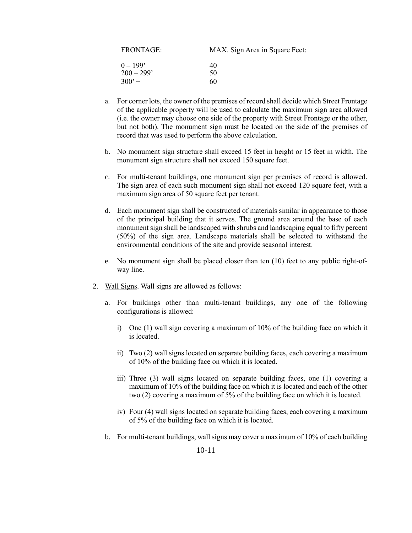| <b>FRONTAGE:</b>           | MAX. Sign Area in Square Feet: |
|----------------------------|--------------------------------|
| $0 - 199'$<br>$200 - 299'$ | 40<br>50                       |
| $300' +$                   | 60                             |

- a. For corner lots, the owner of the premises of record shall decide which Street Frontage of the applicable property will be used to calculate the maximum sign area allowed (i.e. the owner may choose one side of the property with Street Frontage or the other, but not both). The monument sign must be located on the side of the premises of record that was used to perform the above calculation.
- b. No monument sign structure shall exceed 15 feet in height or 15 feet in width. The monument sign structure shall not exceed 150 square feet.
- c. For multi-tenant buildings, one monument sign per premises of record is allowed. The sign area of each such monument sign shall not exceed 120 square feet, with a maximum sign area of 50 square feet per tenant.
- d. Each monument sign shall be constructed of materials similar in appearance to those of the principal building that it serves. The ground area around the base of each monument sign shall be landscaped with shrubs and landscaping equal to fifty percent (50%) of the sign area. Landscape materials shall be selected to withstand the environmental conditions of the site and provide seasonal interest.
- e. No monument sign shall be placed closer than ten (10) feet to any public right-ofway line.
- 2. Wall Signs. Wall signs are allowed as follows:
	- a. For buildings other than multi-tenant buildings, any one of the following configurations is allowed:
		- i) One (1) wall sign covering a maximum of 10% of the building face on which it is located.
		- ii) Two (2) wall signs located on separate building faces, each covering a maximum of 10% of the building face on which it is located.
		- iii) Three (3) wall signs located on separate building faces, one (1) covering a maximum of 10% of the building face on which it is located and each of the other two (2) covering a maximum of 5% of the building face on which it is located.
		- iv) Four (4) wall signs located on separate building faces, each covering a maximum of 5% of the building face on which it is located.
	- b. For multi-tenant buildings, wall signs may cover a maximum of 10% of each building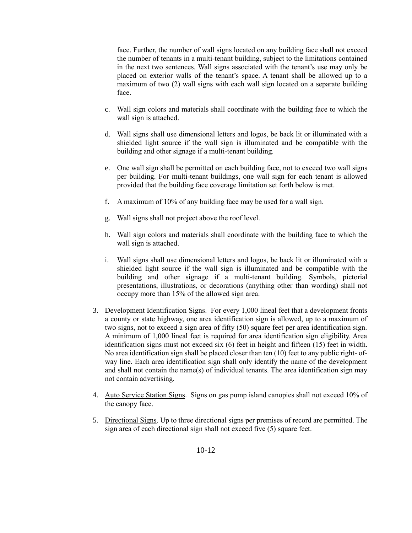face. Further, the number of wall signs located on any building face shall not exceed the number of tenants in a multi-tenant building, subject to the limitations contained in the next two sentences. Wall signs associated with the tenant's use may only be placed on exterior walls of the tenant's space. A tenant shall be allowed up to a maximum of two (2) wall signs with each wall sign located on a separate building face.

- c. Wall sign colors and materials shall coordinate with the building face to which the wall sign is attached.
- d. Wall signs shall use dimensional letters and logos, be back lit or illuminated with a shielded light source if the wall sign is illuminated and be compatible with the building and other signage if a multi-tenant building.
- e. One wall sign shall be permitted on each building face, not to exceed two wall signs per building. For multi-tenant buildings, one wall sign for each tenant is allowed provided that the building face coverage limitation set forth below is met.
- f. A maximum of 10% of any building face may be used for a wall sign.
- g. Wall signs shall not project above the roof level.
- h. Wall sign colors and materials shall coordinate with the building face to which the wall sign is attached.
- i. Wall signs shall use dimensional letters and logos, be back lit or illuminated with a shielded light source if the wall sign is illuminated and be compatible with the building and other signage if a multi-tenant building. Symbols, pictorial presentations, illustrations, or decorations (anything other than wording) shall not occupy more than 15% of the allowed sign area.
- 3. Development Identification Signs. For every 1,000 lineal feet that a development fronts a county or state highway, one area identification sign is allowed, up to a maximum of two signs, not to exceed a sign area of fifty (50) square feet per area identification sign. A minimum of 1,000 lineal feet is required for area identification sign eligibility. Area identification signs must not exceed six (6) feet in height and fifteen (15) feet in width. No area identification sign shall be placed closer than ten  $(10)$  feet to any public right-ofway line. Each area identification sign shall only identify the name of the development and shall not contain the name(s) of individual tenants. The area identification sign may not contain advertising.
- 4. Auto Service Station Signs. Signs on gas pump island canopies shall not exceed 10% of the canopy face.
- 5. Directional Signs. Up to three directional signs per premises of record are permitted. The sign area of each directional sign shall not exceed five (5) square feet.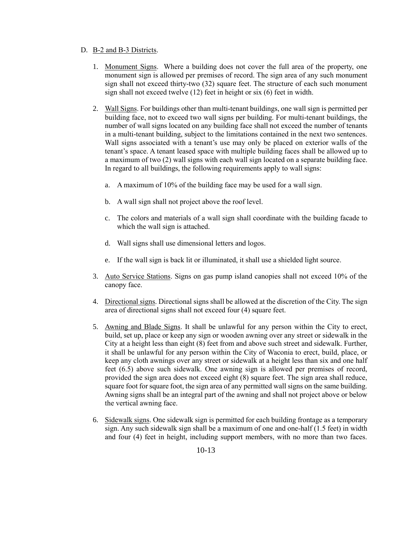# D. B-2 and B-3 Districts.

- 1. Monument Signs. Where a building does not cover the full area of the property, one monument sign is allowed per premises of record. The sign area of any such monument sign shall not exceed thirty-two (32) square feet. The structure of each such monument sign shall not exceed twelve (12) feet in height or six (6) feet in width.
- 2. Wall Signs. For buildings other than multi-tenant buildings, one wall sign is permitted per building face, not to exceed two wall signs per building. For multi-tenant buildings, the number of wall signs located on any building face shall not exceed the number of tenants in a multi-tenant building, subject to the limitations contained in the next two sentences. Wall signs associated with a tenant's use may only be placed on exterior walls of the tenant's space. A tenant leased space with multiple building faces shall be allowed up to a maximum of two (2) wall signs with each wall sign located on a separate building face. In regard to all buildings, the following requirements apply to wall signs:
	- a. A maximum of 10% of the building face may be used for a wall sign.
	- b. A wall sign shall not project above the roof level.
	- c. The colors and materials of a wall sign shall coordinate with the building facade to which the wall sign is attached.
	- d. Wall signs shall use dimensional letters and logos.
	- e. If the wall sign is back lit or illuminated, it shall use a shielded light source.
- 3. Auto Service Stations. Signs on gas pump island canopies shall not exceed 10% of the canopy face.
- 4. Directional signs. Directional signs shall be allowed at the discretion of the City. The sign area of directional signs shall not exceed four (4) square feet.
- 5. Awning and Blade Signs. It shall be unlawful for any person within the City to erect, build, set up, place or keep any sign or wooden awning over any street or sidewalk in the City at a height less than eight (8) feet from and above such street and sidewalk. Further, it shall be unlawful for any person within the City of Waconia to erect, build, place, or keep any cloth awnings over any street or sidewalk at a height less than six and one half feet (6.5) above such sidewalk. One awning sign is allowed per premises of record, provided the sign area does not exceed eight (8) square feet. The sign area shall reduce, square foot for square foot, the sign area of any permitted wall signs on the same building. Awning signs shall be an integral part of the awning and shall not project above or below the vertical awning face.
- 6. Sidewalk signs. One sidewalk sign is permitted for each building frontage as a temporary sign. Any such sidewalk sign shall be a maximum of one and one-half (1.5 feet) in width and four (4) feet in height, including support members, with no more than two faces.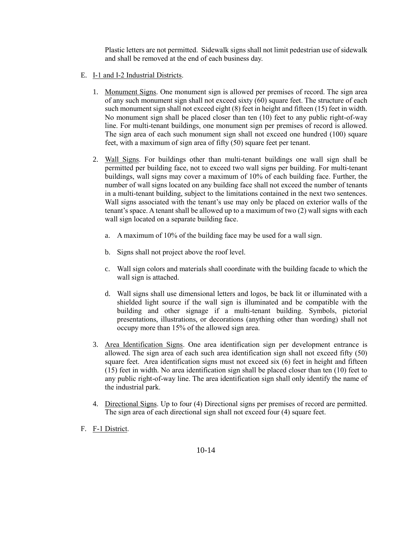Plastic letters are not permitted. Sidewalk signs shall not limit pedestrian use of sidewalk and shall be removed at the end of each business day.

- E. I-1 and I-2 Industrial Districts.
	- 1. Monument Signs. One monument sign is allowed per premises of record. The sign area of any such monument sign shall not exceed sixty (60) square feet. The structure of each such monument sign shall not exceed eight (8) feet in height and fifteen (15) feet in width. No monument sign shall be placed closer than ten (10) feet to any public right-of-way line. For multi-tenant buildings, one monument sign per premises of record is allowed. The sign area of each such monument sign shall not exceed one hundred (100) square feet, with a maximum of sign area of fifty (50) square feet per tenant.
	- 2. Wall Signs. For buildings other than multi-tenant buildings one wall sign shall be permitted per building face, not to exceed two wall signs per building. For multi-tenant buildings, wall signs may cover a maximum of 10% of each building face. Further, the number of wall signs located on any building face shall not exceed the number of tenants in a multi-tenant building, subject to the limitations contained in the next two sentences. Wall signs associated with the tenant's use may only be placed on exterior walls of the tenant's space. A tenant shall be allowed up to a maximum of two (2) wall signs with each wall sign located on a separate building face.
		- a. A maximum of 10% of the building face may be used for a wall sign.
		- b. Signs shall not project above the roof level.
		- c. Wall sign colors and materials shall coordinate with the building facade to which the wall sign is attached.
		- d. Wall signs shall use dimensional letters and logos, be back lit or illuminated with a shielded light source if the wall sign is illuminated and be compatible with the building and other signage if a multi-tenant building. Symbols, pictorial presentations, illustrations, or decorations (anything other than wording) shall not occupy more than 15% of the allowed sign area.
	- 3. Area Identification Signs. One area identification sign per development entrance is allowed. The sign area of each such area identification sign shall not exceed fifty (50) square feet. Area identification signs must not exceed six (6) feet in height and fifteen (15) feet in width. No area identification sign shall be placed closer than ten (10) feet to any public right-of-way line. The area identification sign shall only identify the name of the industrial park.
	- 4. Directional Signs. Up to four (4) Directional signs per premises of record are permitted. The sign area of each directional sign shall not exceed four (4) square feet.
- F. F-1 District.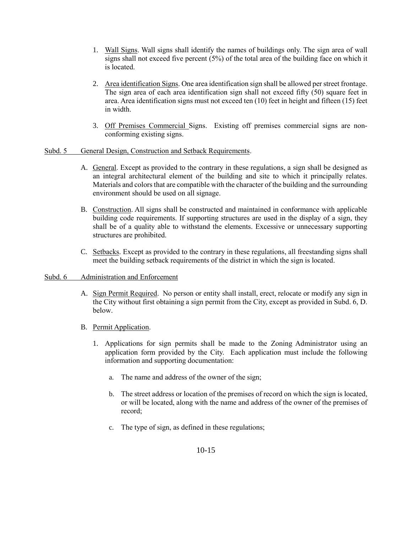- 1. Wall Signs. Wall signs shall identify the names of buildings only. The sign area of wall signs shall not exceed five percent  $(5\%)$  of the total area of the building face on which it is located.
- 2. Area identification Signs. One area identification sign shall be allowed per street frontage. The sign area of each area identification sign shall not exceed fifty (50) square feet in area. Area identification signs must not exceed ten (10) feet in height and fifteen (15) feet in width.
- 3. Off Premises Commercial Signs. Existing off premises commercial signs are nonconforming existing signs.

### Subd. 5 General Design, Construction and Setback Requirements.

- A. General. Except as provided to the contrary in these regulations, a sign shall be designed as an integral architectural element of the building and site to which it principally relates. Materials and colors that are compatible with the character of the building and the surrounding environment should be used on all signage.
- B. Construction. All signs shall be constructed and maintained in conformance with applicable building code requirements. If supporting structures are used in the display of a sign, they shall be of a quality able to withstand the elements. Excessive or unnecessary supporting structures are prohibited.
- C. Setbacks. Except as provided to the contrary in these regulations, all freestanding signs shall meet the building setback requirements of the district in which the sign is located.

#### Subd. 6 Administration and Enforcement

- A. Sign Permit Required. No person or entity shall install, erect, relocate or modify any sign in the City without first obtaining a sign permit from the City, except as provided in Subd. 6, D. below.
- B. Permit Application.
	- 1. Applications for sign permits shall be made to the Zoning Administrator using an application form provided by the City. Each application must include the following information and supporting documentation:
		- a. The name and address of the owner of the sign;
		- b. The street address or location of the premises of record on which the sign is located, or will be located, along with the name and address of the owner of the premises of record;
		- c. The type of sign, as defined in these regulations;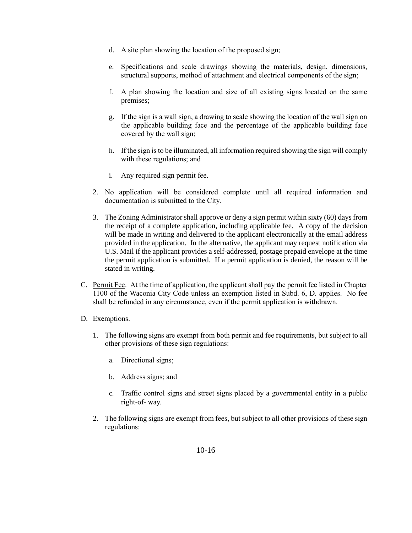- d. A site plan showing the location of the proposed sign;
- e. Specifications and scale drawings showing the materials, design, dimensions, structural supports, method of attachment and electrical components of the sign;
- f. A plan showing the location and size of all existing signs located on the same premises;
- g. If the sign is a wall sign, a drawing to scale showing the location of the wall sign on the applicable building face and the percentage of the applicable building face covered by the wall sign;
- h. If the sign is to be illuminated, all information required showing the sign will comply with these regulations; and
- i. Any required sign permit fee.
- 2. No application will be considered complete until all required information and documentation is submitted to the City.
- 3. The Zoning Administrator shall approve or deny a sign permit within sixty (60) days from the receipt of a complete application, including applicable fee. A copy of the decision will be made in writing and delivered to the applicant electronically at the email address provided in the application. In the alternative, the applicant may request notification via U.S. Mail if the applicant provides a self-addressed, postage prepaid envelope at the time the permit application is submitted. If a permit application is denied, the reason will be stated in writing.
- C. Permit Fee. At the time of application, the applicant shall pay the permit fee listed in Chapter 1100 of the Waconia City Code unless an exemption listed in Subd. 6, D. applies. No fee shall be refunded in any circumstance, even if the permit application is withdrawn.
- D. Exemptions.
	- 1. The following signs are exempt from both permit and fee requirements, but subject to all other provisions of these sign regulations:
		- a. Directional signs;
		- b. Address signs; and
		- c. Traffic control signs and street signs placed by a governmental entity in a public right-of- way.
	- 2. The following signs are exempt from fees, but subject to all other provisions of these sign regulations: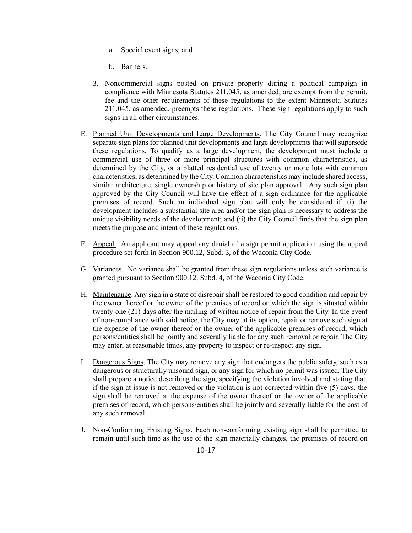- a. Special event signs; and
- b. Banners.
- 3. Noncommercial signs posted on private property during a political campaign in compliance with Minnesota Statutes 211.045, as amended, are exempt from the permit, fee and the other requirements of these regulations to the extent Minnesota Statutes 211.045, as amended, preempts these regulations. These sign regulations apply to such signs in all other circumstances.
- E. Planned Unit Developments and Large Developments. The City Council may recognize separate sign plans for planned unit developments and large developments that will supersede these regulations. To qualify as a large development, the development must include a commercial use of three or more principal structures with common characteristics, as determined by the City, or a platted residential use of twenty or more lots with common characteristics, as determined by the City. Common characteristics may include shared access, similar architecture, single ownership or history of site plan approval. Any such sign plan approved by the City Council will have the effect of a sign ordinance for the applicable premises of record. Such an individual sign plan will only be considered if: (i) the development includes a substantial site area and/or the sign plan is necessary to address the unique visibility needs of the development; and (ii) the City Council finds that the sign plan meets the purpose and intent of these regulations.
- F. Appeal. An applicant may appeal any denial of a sign permit application using the appeal procedure set forth in Section 900.12, Subd. 3, of the Waconia City Code.
- G. Variances. No variance shall be granted from these sign regulations unless such variance is granted pursuant to Section 900.12, Subd. 4, of the Waconia City Code.
- H. Maintenance. Any sign in a state of disrepair shall be restored to good condition and repair by the owner thereof or the owner of the premises of record on which the sign is situated within twenty-one (21) days after the mailing of written notice of repair from the City. In the event of non-compliance with said notice, the City may, at its option, repair or remove such sign at the expense of the owner thereof or the owner of the applicable premises of record, which persons/entities shall be jointly and severally liable for any such removal or repair. The City may enter, at reasonable times, any property to inspect or re-inspect any sign.
- I. Dangerous Signs. The City may remove any sign that endangers the public safety, such as a dangerous or structurally unsound sign, or any sign for which no permit was issued. The City shall prepare a notice describing the sign, specifying the violation involved and stating that, if the sign at issue is not removed or the violation is not corrected within five (5) days, the sign shall be removed at the expense of the owner thereof or the owner of the applicable premises of record, which persons/entities shall be jointly and severally liable for the cost of any such removal.
- J. Non-Conforming Existing Signs. Each non-conforming existing sign shall be permitted to remain until such time as the use of the sign materially changes, the premises of record on